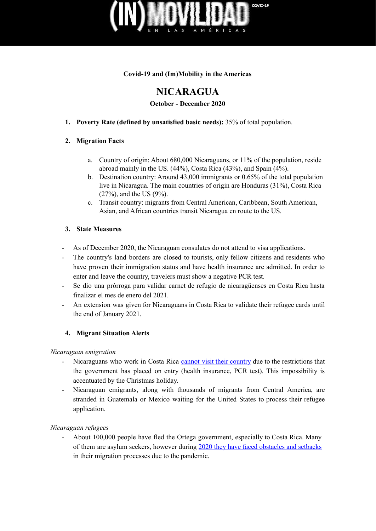

### **Covid-19 and (Im)Mobility in the Americas**

# **NICARAGUA**

**October - December 2020**

### **1. Poverty Rate (defined by unsatisfied basic needs):** 35% of total population.

### **2. Migration Facts**

- a. Country of origin: About 680,000 Nicaraguans, or 11% of the population, reside abroad mainly in the US. (44%), Costa Rica (43%), and Spain (4%).
- b. Destination country: Around 43,000 immigrants or 0.65% of the total population live in Nicaragua. The main countries of origin are Honduras (31%), Costa Rica (27%), and the US (9%).
- c. Transit country: migrants from Central American, Caribbean, South American, Asian, and African countries transit Nicaragua en route to the US.

### **3. State Measures**

- As of December 2020, the Nicaraguan consulates do not attend to visa applications.
- The country's land borders are closed to tourists, only fellow citizens and residents who have proven their immigration status and have health insurance are admitted. In order to enter and leave the country, travelers must show a negative PCR test.
- Se dio una prórroga para validar carnet de refugio de nicaragüenses en Costa Rica hasta finalizar el mes de enero del 2021.
- An extension was given for Nicaraguans in Costa Rica to validate their refugee cards until the end of January 2021.

## **4. Migrant Situation Alerts**

#### *Nicaraguan emigration*

- Nicaraguans who work in Costa Rica cannot visit their [country](https://www.laprensa.com.ni/2020/12/31/derecho-humano-ni/2765970-pandemia-obstaculiza-reencuentro-familiar-y-procesos-migratorios-entre-nicaragua-y-costa-rica) due to the restrictions that the government has placed on entry (health insurance, PCR test). This impossibility is accentuated by the Christmas holiday.
- Nicaraguan emigrants, along with thousands of migrants from Central America, are stranded in Guatemala or Mexico waiting for the United States to process their refugee application.

*Nicaraguan refugees*

- About 100,000 people have fled the Ortega government, especially to Costa Rica. Many of them are asylum seekers, however during 2020 they have faced [obstacles](https://www.laprensa.com.ni/2020/12/31/derecho-humano-ni/2765970-pandemia-obstaculiza-reencuentro-familiar-y-procesos-migratorios-entre-nicaragua-y-costa-rica) and setbacks in their migration processes due to the pandemic.